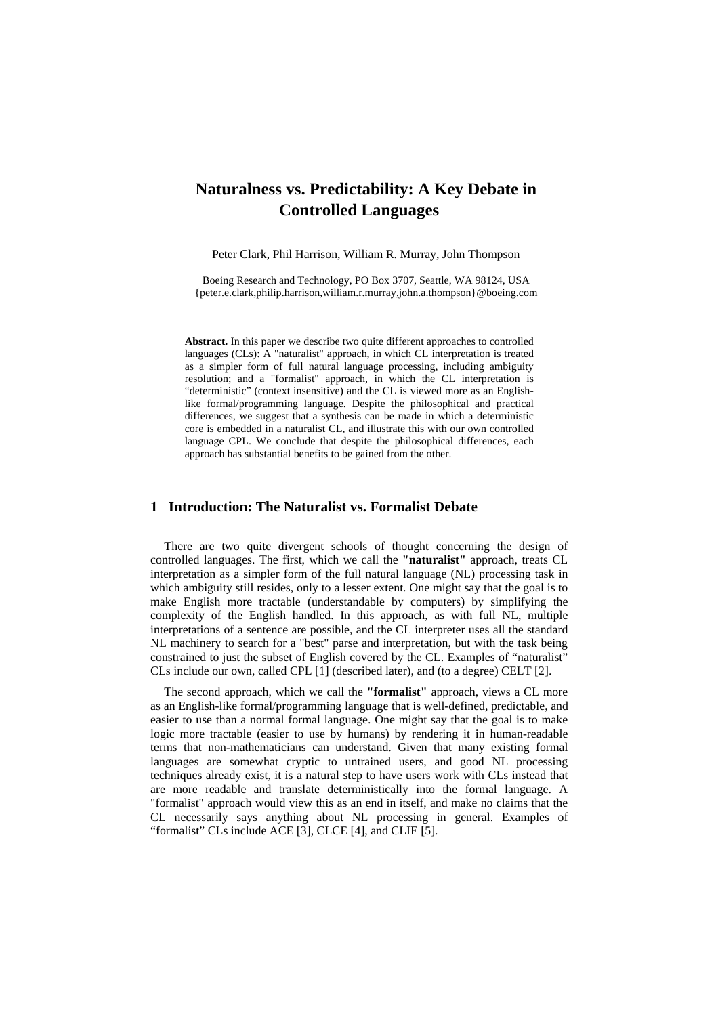# **Naturalness vs. Predictability: A Key Debate in Controlled Languages**

Peter Clark, Phil Harrison, William R. Murray, John Thompson

Boeing Research and Technology, PO Box 3707, Seattle, WA 98124, USA {peter.e.clark,philip.harrison,william.r.murray,john.a.thompson}@boeing.com

**Abstract.** In this paper we describe two quite different approaches to controlled languages (CLs): A "naturalist" approach, in which CL interpretation is treated as a simpler form of full natural language processing, including ambiguity resolution; and a "formalist" approach, in which the CL interpretation is "deterministic" (context insensitive) and the CL is viewed more as an Englishlike formal/programming language. Despite the philosophical and practical differences, we suggest that a synthesis can be made in which a deterministic core is embedded in a naturalist CL, and illustrate this with our own controlled language CPL. We conclude that despite the philosophical differences, each approach has substantial benefits to be gained from the other.

## **1 Introduction: The Naturalist vs. Formalist Debate**

There are two quite divergent schools of thought concerning the design of controlled languages. The first, which we call the **"naturalist"** approach, treats CL interpretation as a simpler form of the full natural language (NL) processing task in which ambiguity still resides, only to a lesser extent. One might say that the goal is to make English more tractable (understandable by computers) by simplifying the complexity of the English handled. In this approach, as with full NL, multiple interpretations of a sentence are possible, and the CL interpreter uses all the standard NL machinery to search for a "best" parse and interpretation, but with the task being constrained to just the subset of English covered by the CL. Examples of "naturalist" CLs include our own, called CPL [1] (described later), and (to a degree) CELT [2].

The second approach, which we call the **"formalist"** approach, views a CL more as an English-like formal/programming language that is well-defined, predictable, and easier to use than a normal formal language. One might say that the goal is to make logic more tractable (easier to use by humans) by rendering it in human-readable terms that non-mathematicians can understand. Given that many existing formal languages are somewhat cryptic to untrained users, and good NL processing techniques already exist, it is a natural step to have users work with CLs instead that are more readable and translate deterministically into the formal language. A "formalist" approach would view this as an end in itself, and make no claims that the CL necessarily says anything about NL processing in general. Examples of "formalist" CLs include ACE [3], CLCE [4], and CLIE [5].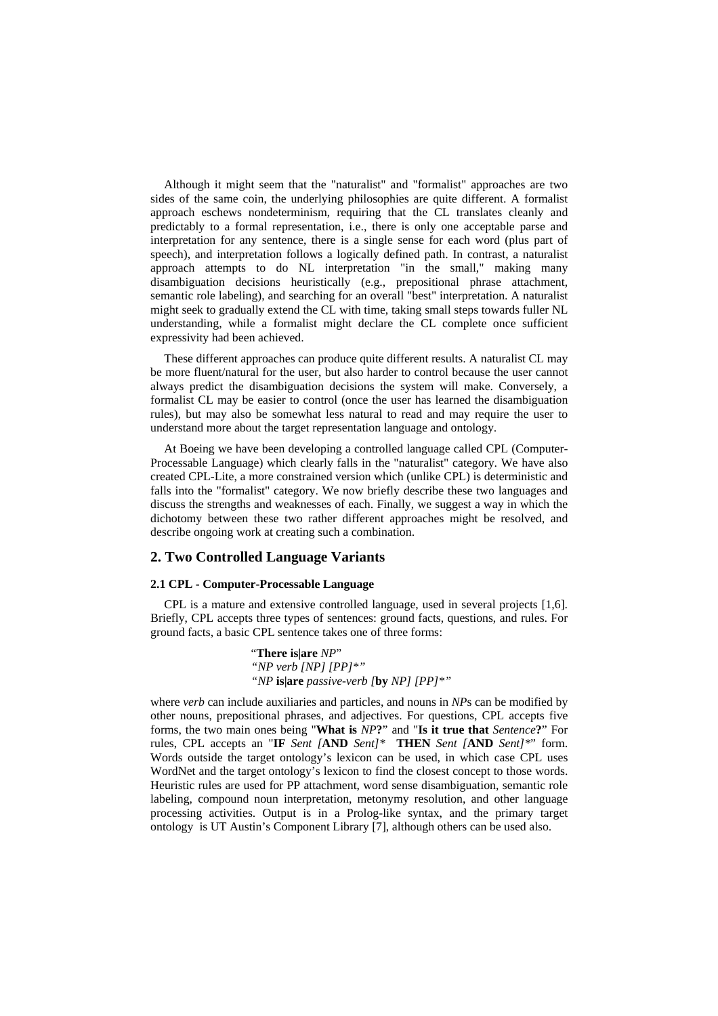Although it might seem that the "naturalist" and "formalist" approaches are two sides of the same coin, the underlying philosophies are quite different. A formalist approach eschews nondeterminism, requiring that the CL translates cleanly and predictably to a formal representation, i.e., there is only one acceptable parse and interpretation for any sentence, there is a single sense for each word (plus part of speech), and interpretation follows a logically defined path. In contrast, a naturalist approach attempts to do NL interpretation "in the small," making many disambiguation decisions heuristically (e.g., prepositional phrase attachment, semantic role labeling), and searching for an overall "best" interpretation. A naturalist might seek to gradually extend the CL with time, taking small steps towards fuller NL understanding, while a formalist might declare the CL complete once sufficient expressivity had been achieved.

These different approaches can produce quite different results. A naturalist CL may be more fluent/natural for the user, but also harder to control because the user cannot always predict the disambiguation decisions the system will make. Conversely, a formalist CL may be easier to control (once the user has learned the disambiguation rules), but may also be somewhat less natural to read and may require the user to understand more about the target representation language and ontology.

At Boeing we have been developing a controlled language called CPL (Computer-Processable Language) which clearly falls in the "naturalist" category. We have also created CPL-Lite, a more constrained version which (unlike CPL) is deterministic and falls into the "formalist" category. We now briefly describe these two languages and discuss the strengths and weaknesses of each. Finally, we suggest a way in which the dichotomy between these two rather different approaches might be resolved, and describe ongoing work at creating such a combination.

### **2. Two Controlled Language Variants**

#### **2.1 CPL - Computer-Processable Language**

CPL is a mature and extensive controlled language, used in several projects [1,6]. Briefly, CPL accepts three types of sentences: ground facts, questions, and rules. For ground facts, a basic CPL sentence takes one of three forms:

> "**There is|are** *NP*" *"NP verb [NP] [PP]\*" "NP* **is|are** *passive-verb [***by** *NP] [PP]\*"*

where *verb* can include auxiliaries and particles, and nouns in *NP*s can be modified by other nouns, prepositional phrases, and adjectives. For questions, CPL accepts five forms, the two main ones being "**What is** *NP***?**" and "**Is it true that** *Sentence***?**" For rules, CPL accepts an "**IF** *Sent [***AND** *Sent]\** **THEN** *Sent [***AND** *Sent]\**" form. Words outside the target ontology's lexicon can be used, in which case CPL uses WordNet and the target ontology's lexicon to find the closest concept to those words. Heuristic rules are used for PP attachment, word sense disambiguation, semantic role labeling, compound noun interpretation, metonymy resolution, and other language processing activities. Output is in a Prolog-like syntax, and the primary target ontology is UT Austin's Component Library [7], although others can be used also.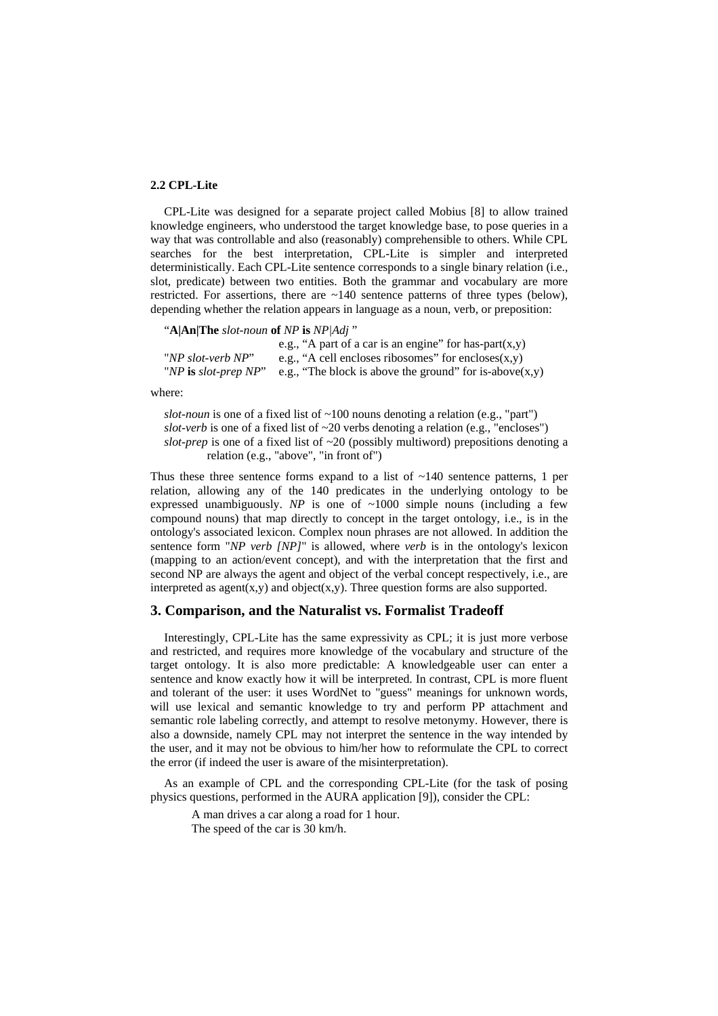## **2.2 CPL-Lite**

CPL-Lite was designed for a separate project called Mobius [8] to allow trained knowledge engineers, who understood the target knowledge base, to pose queries in a way that was controllable and also (reasonably) comprehensible to others. While CPL searches for the best interpretation, CPL-Lite is simpler and interpreted deterministically. Each CPL-Lite sentence corresponds to a single binary relation (i.e., slot, predicate) between two entities. Both the grammar and vocabulary are more restricted. For assertions, there are  $\sim$ 140 sentence patterns of three types (below), depending whether the relation appears in language as a noun, verb, or preposition:

"**A|An|The** *slot-noun* **of** *NP* **is** *NP|Adj* "

|                         | e.g., "A part of a car is an engine" for has-part $(x,y)$  |
|-------------------------|------------------------------------------------------------|
| "NP slot-verb NP"       | e.g., "A cell encloses ribosomes" for encloses $(x,y)$     |
| "NP is slot-prep $NP$ " | e.g., "The block is above the ground" for is-above $(x,y)$ |

where:

*slot-noun* is one of a fixed list of  $\sim$ 100 nouns denoting a relation (e.g., "part")  $slot\text{-}verb$  is one of a fixed list of  $\sim$ 20 verbs denoting a relation (e.g., "encloses") *slot-prep* is one of a fixed list of ~20 (possibly multiword) prepositions denoting a relation (e.g., "above", "in front of")

Thus these three sentence forms expand to a list of  $\sim$ 140 sentence patterns, 1 per relation, allowing any of the 140 predicates in the underlying ontology to be expressed unambiguously. *NP* is one of  $\sim 1000$  simple nouns (including a few compound nouns) that map directly to concept in the target ontology, i.e., is in the ontology's associated lexicon. Complex noun phrases are not allowed. In addition the sentence form "*NP verb [NP]*" is allowed, where *verb* is in the ontology's lexicon (mapping to an action/event concept), and with the interpretation that the first and second NP are always the agent and object of the verbal concept respectively, i.e., are interpreted as agent $(x,y)$  and object $(x,y)$ . Three question forms are also supported.

#### **3. Comparison, and the Naturalist vs. Formalist Tradeoff**

Interestingly, CPL-Lite has the same expressivity as CPL; it is just more verbose and restricted, and requires more knowledge of the vocabulary and structure of the target ontology. It is also more predictable: A knowledgeable user can enter a sentence and know exactly how it will be interpreted. In contrast, CPL is more fluent and tolerant of the user: it uses WordNet to "guess" meanings for unknown words, will use lexical and semantic knowledge to try and perform PP attachment and semantic role labeling correctly, and attempt to resolve metonymy. However, there is also a downside, namely CPL may not interpret the sentence in the way intended by the user, and it may not be obvious to him/her how to reformulate the CPL to correct the error (if indeed the user is aware of the misinterpretation).

As an example of CPL and the corresponding CPL-Lite (for the task of posing physics questions, performed in the AURA application [9]), consider the CPL:

A man drives a car along a road for 1 hour. The speed of the car is 30 km/h.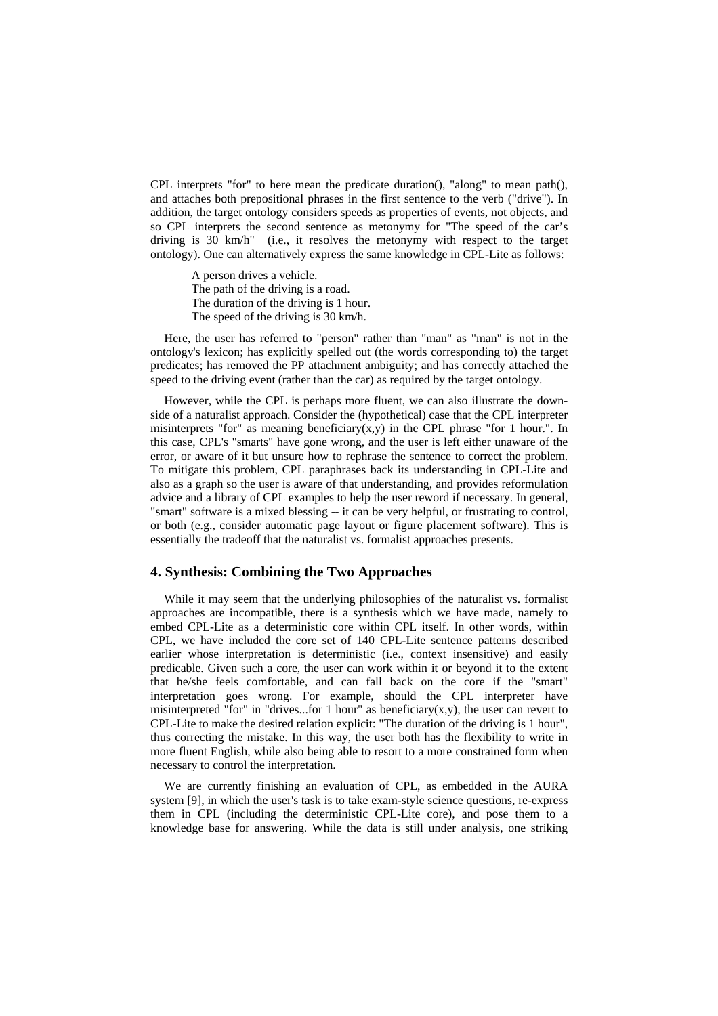CPL interprets "for" to here mean the predicate duration(), "along" to mean path(), and attaches both prepositional phrases in the first sentence to the verb ("drive"). In addition, the target ontology considers speeds as properties of events, not objects, and so CPL interprets the second sentence as metonymy for "The speed of the car's driving is 30 km/h" (i.e., it resolves the metonymy with respect to the target ontology). One can alternatively express the same knowledge in CPL-Lite as follows:

A person drives a vehicle. The path of the driving is a road. The duration of the driving is 1 hour. The speed of the driving is 30 km/h.

Here, the user has referred to "person" rather than "man" as "man" is not in the ontology's lexicon; has explicitly spelled out (the words corresponding to) the target predicates; has removed the PP attachment ambiguity; and has correctly attached the speed to the driving event (rather than the car) as required by the target ontology.

However, while the CPL is perhaps more fluent, we can also illustrate the downside of a naturalist approach. Consider the (hypothetical) case that the CPL interpreter misinterprets "for" as meaning beneficiary(x,y) in the CPL phrase "for 1 hour.". In this case, CPL's "smarts" have gone wrong, and the user is left either unaware of the error, or aware of it but unsure how to rephrase the sentence to correct the problem. To mitigate this problem, CPL paraphrases back its understanding in CPL-Lite and also as a graph so the user is aware of that understanding, and provides reformulation advice and a library of CPL examples to help the user reword if necessary. In general, "smart" software is a mixed blessing -- it can be very helpful, or frustrating to control, or both (e.g., consider automatic page layout or figure placement software). This is essentially the tradeoff that the naturalist vs. formalist approaches presents.

### **4. Synthesis: Combining the Two Approaches**

While it may seem that the underlying philosophies of the naturalist vs. formalist approaches are incompatible, there is a synthesis which we have made, namely to embed CPL-Lite as a deterministic core within CPL itself. In other words, within CPL, we have included the core set of 140 CPL-Lite sentence patterns described earlier whose interpretation is deterministic (i.e., context insensitive) and easily predicable. Given such a core, the user can work within it or beyond it to the extent that he/she feels comfortable, and can fall back on the core if the "smart" interpretation goes wrong. For example, should the CPL interpreter have misinterpreted "for" in "drives...for 1 hour" as beneficiary(x,y), the user can revert to CPL-Lite to make the desired relation explicit: "The duration of the driving is 1 hour", thus correcting the mistake. In this way, the user both has the flexibility to write in more fluent English, while also being able to resort to a more constrained form when necessary to control the interpretation.

We are currently finishing an evaluation of CPL, as embedded in the AURA system [9], in which the user's task is to take exam-style science questions, re-express them in CPL (including the deterministic CPL-Lite core), and pose them to a knowledge base for answering. While the data is still under analysis, one striking